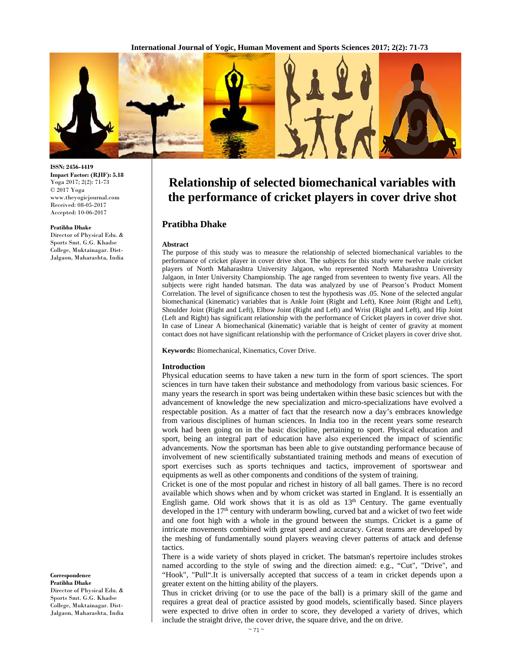**International Journal of Yogic, Human Movement and Sports Sciences 2017; 2(2): 71-73**



**ISSN: 2456-4419 Impact Factor: (RJIF): 5.18**  Yoga 2017; 2(2): 71-73 © 2017 Yoga www.theyogicjournal.com Received: 08-05-2017 Accepted: 10-06-2017

#### **Pratibha Dhake**

Director of Physical Edu. & Sports Smt. G.G. Khadse College, Muktainagar. Dist-Jalgaon, Maharashta, India

**Correspondence Pratibha Dhake**  Director of Physical Edu. & Sports Smt. G.G. Khadse College, Muktainagar. Dist-

Jalgaon, Maharashta, India

# **Relationship of selected biomechanical variables with the performance of cricket players in cover drive shot**

# **Pratibha Dhake**

#### **Abstract**

The purpose of this study was to measure the relationship of selected biomechanical variables to the performance of cricket player in cover drive shot. The subjects for this study were twelve male cricket players of North Maharashtra University Jalgaon, who represented North Maharashtra University Jalgaon, in Inter University Championship. The age ranged from seventeen to twenty five years. All the subjects were right handed batsman. The data was analyzed by use of Pearson's Product Moment Correlation. The level of significance chosen to test the hypothesis was .05. None of the selected angular biomechanical (kinematic) variables that is Ankle Joint (Right and Left), Knee Joint (Right and Left), Shoulder Joint (Right and Left), Elbow Joint (Right and Left) and Wrist (Right and Left), and Hip Joint (Left and Right) has significant relationship with the performance of Cricket players in cover drive shot. In case of Linear A biomechanical (kinematic) variable that is height of center of gravity at moment contact does not have significant relationship with the performance of Cricket players in cover drive shot.

**Keywords:** Biomechanical, Kinematics, Cover Drive.

#### **Introduction**

Physical education seems to have taken a new turn in the form of sport sciences. The sport sciences in turn have taken their substance and methodology from various basic sciences. For many years the research in sport was being undertaken within these basic sciences but with the advancement of knowledge the new specialization and micro-specializations have evolved a respectable position. As a matter of fact that the research now a day's embraces knowledge from various disciplines of human sciences. In India too in the recent years some research work had been going on in the basic discipline, pertaining to sport. Physical education and sport, being an integral part of education have also experienced the impact of scientific advancements. Now the sportsman has been able to give outstanding performance because of involvement of new scientifically substantiated training methods and means of execution of sport exercises such as sports techniques and tactics, improvement of sportswear and equipments as well as other components and conditions of the system of training.

Cricket is one of the most popular and richest in history of all ball games. There is no record available which shows when and by whom cricket was started in England. It is essentially an English game. Old work shows that it is as old as  $13<sup>th</sup>$  Century. The game eventually developed in the 17<sup>th</sup> century with underarm bowling, curved bat and a wicket of two feet wide and one foot high with a whole in the ground between the stumps. Cricket is a game of intricate movements combined with great speed and accuracy. Great teams are developed by the meshing of fundamentally sound players weaving clever patterns of attack and defense tactics.

There is a wide variety of shots played in cricket. The batsman's repertoire includes strokes named according to the style of swing and the direction aimed: e.g., "Cut", "Drive", and "Hook", "Pull".It is universally accepted that success of a team in cricket depends upon a greater extent on the hitting ability of the players.

Thus in cricket driving (or to use the pace of the ball) is a primary skill of the game and requires a great deal of practice assisted by good models, scientifically based. Since players were expected to drive often in order to score, they developed a variety of drives, which include the straight drive, the cover drive, the square drive, and the on drive.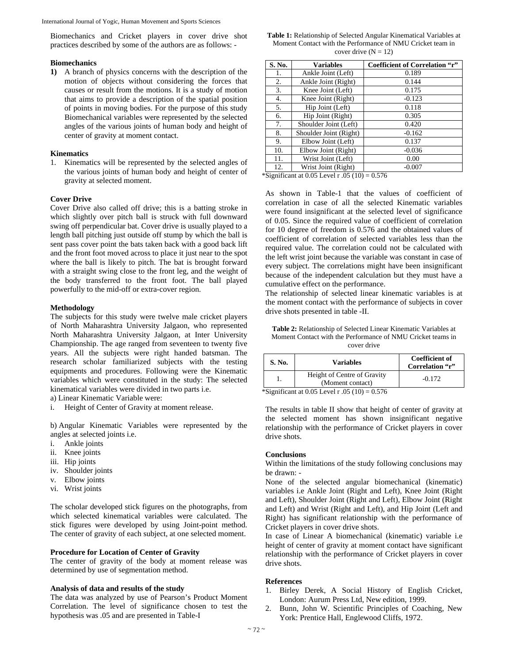Biomechanics and Cricket players in cover drive shot practices described by some of the authors are as follows: -

## **Biomechanics**

**1)** A branch of physics concerns with the description of the motion of objects without considering the forces that causes or result from the motions. It is a study of motion that aims to provide a description of the spatial position of points in moving bodies. For the purpose of this study Biomechanical variables were represented by the selected angles of the various joints of human body and height of center of gravity at moment contact.

# **Kinematics**

1. Kinematics will be represented by the selected angles of the various joints of human body and height of center of gravity at selected moment.

### **Cover Drive**

Cover Drive also called off drive; this is a batting stroke in which slightly over pitch ball is struck with full downward swing off perpendicular bat. Cover drive is usually played to a length ball pitching just outside off stump by which the ball is sent pass cover point the bats taken back with a good back lift and the front foot moved across to place it just near to the spot where the ball is likely to pitch. The bat is brought forward with a straight swing close to the front leg, and the weight of the body transferred to the front foot. The ball played powerfully to the mid-off or extra-cover region.

#### **Methodology**

The subjects for this study were twelve male cricket players of North Maharashtra University Jalgaon, who represented North Maharashtra University Jalgaon, at Inter University Championship. The age ranged from seventeen to twenty five years. All the subjects were right handed batsman. The research scholar familiarized subjects with the testing equipments and procedures. Following were the Kinematic variables which were constituted in the study: The selected kinematical variables were divided in two parts i.e.

a) Linear Kinematic Variable were:

i. Height of Center of Gravity at moment release.

b) Angular Kinematic Variables were represented by the angles at selected joints i.e.

- Ankle joints
- ii. Knee joints
- iii. Hip joints
- iv. Shoulder joints
- v. Elbow joints
- vi. Wrist joints

The scholar developed stick figures on the photographs, from which selected kinematical variables were calculated. The stick figures were developed by using Joint-point method. The center of gravity of each subject, at one selected moment.

#### **Procedure for Location of Center of Gravity**

The center of gravity of the body at moment release was determined by use of segmentation method.

## **Analysis of data and results of the study**

The data was analyzed by use of Pearson's Product Moment Correlation. The level of significance chosen to test the hypothesis was .05 and are presented in Table-I

**Table 1:** Relationship of Selected Angular Kinematical Variables at Moment Contact with the Performance of NMU Cricket team in cover drive  $(N = 12)$ 

| S. No. | <b>Variables</b>       | Coefficient of Correlation "r" |
|--------|------------------------|--------------------------------|
| 1.     | Ankle Joint (Left)     | 0.189                          |
| 2.     | Ankle Joint (Right)    | 0.144                          |
| 3.     | Knee Joint (Left)      | 0.175                          |
| 4.     | Knee Joint (Right)     | $-0.123$                       |
| 5.     | Hip Joint (Left)       | 0.118                          |
| 6.     | Hip Joint (Right)      | 0.305                          |
| 7.     | Shoulder Joint (Left)  | 0.420                          |
| 8.     | Shoulder Joint (Right) | $-0.162$                       |
| 9.     | Elbow Joint (Left)     | 0.137                          |
| 10.    | Elbow Joint (Right)    | $-0.036$                       |
| 11.    | Wrist Joint (Left)     | 0.00                           |
| 12.    | Wrist Joint (Right)    | $-0.007$                       |

\*Significant at  $0.05$  Level r  $.05$  (10) =  $0.576$ 

As shown in Table-1 that the values of coefficient of correlation in case of all the selected Kinematic variables were found insignificant at the selected level of significance of 0.05. Since the required value of coefficient of correlation for 10 degree of freedom is 0.576 and the obtained values of coefficient of correlation of selected variables less than the required value. The correlation could not be calculated with the left wrist joint because the variable was constant in case of every subject. The correlations might have been insignificant because of the independent calculation but they must have a cumulative effect on the performance.

The relationship of selected linear kinematic variables is at the moment contact with the performance of subjects in cover drive shots presented in table -II.

| <b>Table 2:</b> Relationship of Selected Linear Kinematic Variables at |  |  |  |  |
|------------------------------------------------------------------------|--|--|--|--|
| Moment Contact with the Performance of NMU Cricket teams in            |  |  |  |  |
| cover drive                                                            |  |  |  |  |

| S. No. | <b>Variables</b>                                | <b>Coefficient of</b><br>Correlation "r" |
|--------|-------------------------------------------------|------------------------------------------|
|        | Height of Centre of Gravity<br>(Moment contact) | $-0.172$                                 |
|        | *Significant at 0.05 Level r, 05 $(10) = 0.576$ |                                          |

ignificant at 0.05 Level

The results in table II show that height of center of gravity at the selected moment has shown insignificant negative relationship with the performance of Cricket players in cover drive shots.

## **Conclusions**

Within the limitations of the study following conclusions may be drawn: -

None of the selected angular biomechanical (kinematic) variables i.e Ankle Joint (Right and Left), Knee Joint (Right and Left), Shoulder Joint (Right and Left), Elbow Joint (Right and Left) and Wrist (Right and Left), and Hip Joint (Left and Right) has significant relationship with the performance of Cricket players in cover drive shots.

In case of Linear A biomechanical (kinematic) variable i.e height of center of gravity at moment contact have significant relationship with the performance of Cricket players in cover drive shots.

#### **References**

- 1. Birley Derek, A Social History of English Cricket, London: Aurum Press Ltd, New edition, 1999.
- 2. Bunn, John W. Scientific Principles of Coaching, New York: Prentice Hall, Englewood Cliffs, 1972.